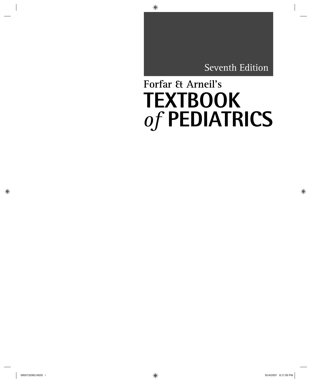Seventh Edition

# **TEXTBOOK Forfar & Arneil's** *of* **PEDIATRICS**

 $\bigoplus$ 

 $\bigoplus$ 

0000732993.INDD i 9/14/2007 8:17:00 PM  $\bigoplus$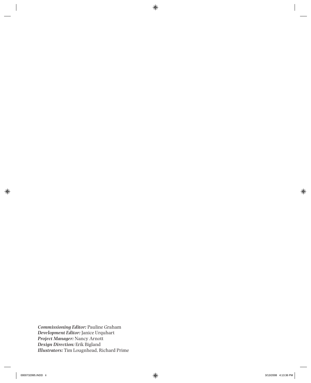*Commissioning Editor:* Pauline Graham *Development Editor:* Janice Urquhart *Project Manager:* Nancy Arnott *Design Direction:* Erik Bigland *Illustrators:* Tim Lougnhead, Richard Prime

 $\bigoplus$ 

 $\bigoplus$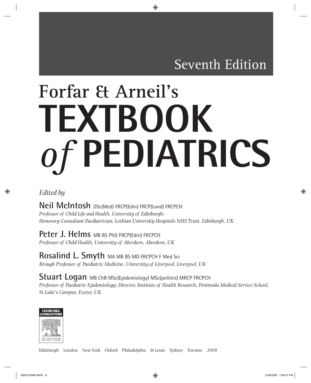# Seventh Edition

# **Forfar & Arneil's TEXTBOOK**  *of* **PEDIATRICS**

⊕

# *Edited by*

◈

**Neil McIntosh** DSc(Med) FRCP(Edin) FRCP(Lond) FRCPCH  *Professor of Child Life and Health, University of Edinburgh; Honorary Consultant Paediatrician, Lothian University Hospitals NHS Trust, Edinburgh, UK* 

Peter J. Helms MB BS PhD FRCP(Edin) FRCPCH

 *Professor of Child Health, University of Aberdeen, Aberdeen, UK* 

**Rosalind L. Smyth** MA MB BS MD FRCPCH F Med Sci

 *Brough Professor of Paediatric Medicine, University of Liverpool, Liverpool, UK* 

**Stuart Logan** MB ChB MSc(Epidemiology) MSc(politics) MRCP FRCPCH  *Professor of Paediatric Epidemiology; Director, Institute of Health Research, Peninsula Medical Service School, St Luke's Campus, Exeter, UK* 



Edinburgh London New York Oxford Philadelphia St Louis Sydney Toronto 2008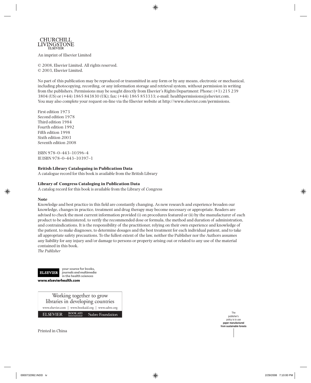

An imprint of Elsevier Limited

 © 2008, Elsevier Limited. All rights reserved. © 2003, Elsevier Limited.

 No part of this publication may be reproduced or transmitted in any form or by any means, electronic or mechanical, including photocopying, recording, or any information storage and retrieval system, without permission in writing from the publishers. Permissions may be sought directly from Elsevier's Rights Department: Phone: (+1) 215 239 3804 (US) or (+44) 1865 843830 (UK); fax: (+44) 1865 853333; e-mail: healthpermissions@elsevier.com. You may also complete your request on-line via the Elsevier website at http://www.elsevier.com/permissions.

⊕

 First edition 1973 Second edition 1978 Third edition 1984 Fourth edition 1992 Fifth edition 1998 Sixth edition 2003 Seventh edition 2008

 ISBN 978–0–443–10396–4 IE ISBN 978–0–443–10397–1

#### **British Library Cataloguing in Publication Data**

A catalogue record for this book is available from the British Library

#### **Library of Congress Cataloging in Publication Data**

A catalog record for this book is available from the Library of Congress

#### **Note**

◈

 Knowledge and best practice in this field are constantly changing. As new research and experience broaden our knowledge, changes in practice, treatment and drug therapy may become necessary or appropriate. Readers are advised to check the most current information provided (i) on procedures featured or (ii) by the manufacturer of each product to be administered, to verify the recommended dose or formula, the method and duration of administration, and contraindications. It is the responsibility of the practitioner, relying on their own experience and knowledge of the patient, to make diagnoses, to determine dosages and the best treatment for each individual patient, and to take all appropriate safety precautions. To the fullest extent of the law, neither the Publisher nor the Authors assumes any liability for any injury and/or damage to persons or property arising out or related to any use of the material contained in this book.  *The Publisher* 

**ELSEVIER** iournals and multimedia in the health sciences

www.elsevierhealth.com

Working together to grow libraries in developing countries www.elsevier.com | www.bookaid.org | www.sabre.org **ELSEVIER BOOK AID**<br>International Sabre Foundation

vour source for books.

Printed in China

The publisher's policy is to use **paper manufactured from sustainable forests** ⊕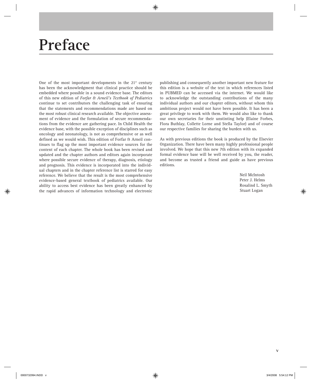# **Preface**

One of the most important developments in the  $21<sup>st</sup>$  century has been the acknowledgment that clinical practice should be embedded where possible in a sound evidence base. The editors of this new edition of *Forfar & Arneil's Textbook of Pediatrics* continue to set contributors the challenging task of ensuring that the statements and recommendations made are based on the most robust clinical research available. The objective assessment of evidence and the formulation of secure recommendations from the evidence are gathering pace. In Child Health the evidence base, with the possible exception of disciplines such as oncology and neonatology, is not as comprehensive or as well defined as we would wish. This edition of Forfar & Arneil continues to flag up the most important evidence sources for the content of each chapter. The whole book has been revised and updated and the chapter authors and editors again incorporate where possible secure evidence of therapy, diagnosis, etiology and prognosis. This evidence is incorporated into the individual chapters and in the chapter reference list is starred for easy reference. We believe that the result is the most comprehensive evidence-based general textbook of pediatrics available. Our ability to access best evidence has been greatly enhanced by the rapid advances of information technology and electronic

publishing and consequently another important new feature for this edition is a website of the text in which references listed in PUBMED can be accessed via the internet. We would like to acknowledge the outstanding contributions of the many individual authors and our chapter editors, without whom this ambitious project would not have been possible. It has been a great privilege to work with them. We would also like to thank our own secretaries for their unstinting help (Elaine Forbes, Flora Buthlay, Collette Lorne and Stella Taylor) and of course our respective families for sharing the burden with us.

As with previous editions the book is produced by the Elsevier Organization. There have been many highly professional people involved. We hope that this new 7th edition with its expanded formal evidence base will be well received by you, the reader, and become as trusted a friend and guide as have previous editions.

> Neil McIntosh Peter J. Helms Rosalind L. Smyth Stuart Logan

◈

⊕

◈

**v**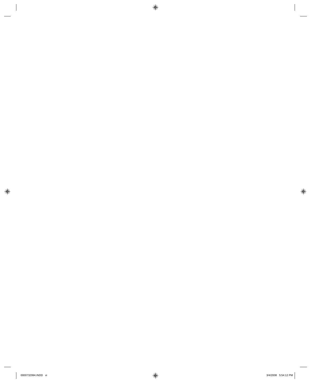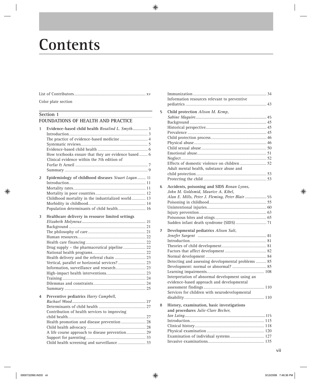# **Contents**

|   | Color plate section                                                                                                                                                                                                                    |
|---|----------------------------------------------------------------------------------------------------------------------------------------------------------------------------------------------------------------------------------------|
|   | Section 1                                                                                                                                                                                                                              |
|   | FOUNDATIONS OF HEALTH AND PRACTICE                                                                                                                                                                                                     |
| 1 | Evidence-based child health Rosalind L. Smyth 3<br>The practice of evidence-based medicine  4<br>How textbooks ensure that they are evidence based  6<br>Clinical evidence within the 7th edition of                                   |
| 2 | Epidemiology of childhood diseases Stuart Logan  11<br>Childhood mortality in the industrialized world 13<br>Population determinants of child health 16                                                                                |
| 3 | Healthcare delivery in resource limited settings<br>Drug supply - the pharmaceutical pipeline 22<br>Health delivery and the referral chain  23<br>Vertical, parallel or horizontal services? 23                                        |
| 4 | Preventive pediatrics Harry Campbell,<br>Contribution of health services to improving<br>Health promotion and disease prevention  28<br>A life course approach to disease prevention 29<br>Child health screening and surveillance  33 |

List of Contributors ................................................................... xv

|   | Information resources relevant to preventive       |
|---|----------------------------------------------------|
|   |                                                    |
|   |                                                    |
| 5 | Child protection Alison M. Kemp,                   |
|   |                                                    |
|   |                                                    |
|   |                                                    |
|   |                                                    |
|   |                                                    |
|   |                                                    |
|   |                                                    |
|   |                                                    |
|   |                                                    |
|   |                                                    |
|   | Adult mental health, substance abuse and           |
|   |                                                    |
|   |                                                    |
|   |                                                    |
| 6 | Accidents, poisoning and SIDS Ronan Lyons,         |
|   | John M. Goldsmid, Maurice A. Kibel,                |
|   | Alan E. Mills, Peter J. Fleming, Peter Blair  55   |
|   |                                                    |
|   |                                                    |
|   |                                                    |
|   |                                                    |
|   |                                                    |
|   |                                                    |
| 7 | Developmental pediatrics Alison Salt,              |
|   |                                                    |
|   |                                                    |
|   |                                                    |
|   |                                                    |
|   |                                                    |
|   | Detecting and assessing developmental problems  85 |
|   |                                                    |
|   |                                                    |
|   | Interpretation of abnormal development using an    |
|   | evidence-based approach and developmental          |
|   |                                                    |
|   | Services for children with neurodevelopmental      |
|   |                                                    |
|   |                                                    |
| 8 | History, examination, basic investigations         |
|   | and procedures Julie-Clare Becher,                 |
|   |                                                    |
|   |                                                    |
|   |                                                    |
|   |                                                    |
|   | Examination of individual systems 127              |
|   |                                                    |
|   |                                                    |

 $\bigoplus$ 

 $\bigoplus$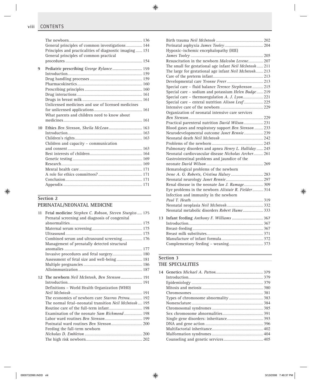## **viii** CONTENTS

|    | General principles of common investigations 144<br>Principles and practicalities of diagnostic imaging  151<br>General principles of common practical |  |
|----|-------------------------------------------------------------------------------------------------------------------------------------------------------|--|
| 9  |                                                                                                                                                       |  |
|    | Unlicensed medicines and use of licensed medicines<br>What parents and children need to know about                                                    |  |
| 10 | Ethics Ben Stenson, Sheila McLean 163<br>Children and capacity - communication                                                                        |  |

## **Section 2**

 $\bigoplus$ 

## **PERINATAL/NEONATAL MEDICINE**

| 11 | Fetal medicine Stephen C. Robson, Steven Sturgiss 175     |  |
|----|-----------------------------------------------------------|--|
|    | Prenatal screening and diagnosis of congenital            |  |
|    |                                                           |  |
|    |                                                           |  |
|    |                                                           |  |
|    | Combined serum and ultrasound screening 176               |  |
|    | Management of prenatally detected structural              |  |
|    |                                                           |  |
|    | Invasive procedures and fetal surgery 180                 |  |
|    | Assessment of fetal size and well-being 181               |  |
|    |                                                           |  |
|    |                                                           |  |
|    |                                                           |  |
|    | 12 The newborn Neil McIntosh, Ben Stenson 191             |  |
|    |                                                           |  |
|    | Definitions - World Health Organization (WHO)             |  |
|    |                                                           |  |
|    | The economics of newborn care <i>Stavros Petrou</i> . 192 |  |
|    | The normal fetal-neonatal transition Neil McIntosh 195    |  |
|    |                                                           |  |
|    | Examination of the neonate Sam Richmond 198               |  |
|    |                                                           |  |
|    | Postnatal ward routines Ben Stenson 200                   |  |
|    | Feeding the full-term newborn                             |  |
|    |                                                           |  |
|    |                                                           |  |

|    | Hypoxic-ischemic encephalopathy (HIE)                  |  |
|----|--------------------------------------------------------|--|
|    |                                                        |  |
|    | Resuscitation in the newborn Malcolm Levene 207        |  |
|    | The small for gestational age infant Neil McIntosh 211 |  |
|    | The large for gestational age infant Neil McIntosh 213 |  |
|    |                                                        |  |
|    |                                                        |  |
|    | Special care - fluid balance Terence Stephenson  215   |  |
|    | Special care - sodium and potassium Helen Budge  219   |  |
|    | Special care - thermoregulation A. J. Lyon 221         |  |
|    | Special care - enteral nutrition Alison Leaf 225       |  |
|    |                                                        |  |
|    | Organization of neonatal intensive care services       |  |
|    |                                                        |  |
|    | Practical parenteral nutrition David Wilson 231        |  |
|    | Blood gases and respiratory support Ben Stenson  233   |  |
|    | Neurodevelopmental outcome Janet Rennie 239            |  |
|    |                                                        |  |
|    |                                                        |  |
|    | Pulmonary disorders and apnea Henry L. Halliday  245   |  |
|    | Neonatal cardiovascular disease Nicholas Archer 261    |  |
|    | Gastrointestinal problems and jaundice of the          |  |
|    |                                                        |  |
|    | Hematological problems of the newborn                  |  |
|    |                                                        |  |
|    |                                                        |  |
|    | Renal disease in the neonate <i>Ian J. Ramage</i> 309  |  |
|    | Eye problems in the newborn Alistair R. Fielder 314    |  |
|    | Infection and immunity in the newborn                  |  |
|    |                                                        |  |
|    |                                                        |  |
|    | Neonatal metabolic disorders Robert Hume 333           |  |
| 13 | Infant feeding Anthony F. Williams  367                |  |
|    |                                                        |  |
|    |                                                        |  |
|    |                                                        |  |
|    |                                                        |  |
|    |                                                        |  |

## **Section 3**

## **THE SPECIALITIES**

| 14 |  |
|----|--|
|    |  |
|    |  |
|    |  |
|    |  |
|    |  |
|    |  |
|    |  |
|    |  |
|    |  |
|    |  |
|    |  |
|    |  |
|    |  |
|    |  |

Complementary feeding – weaning ................................ 373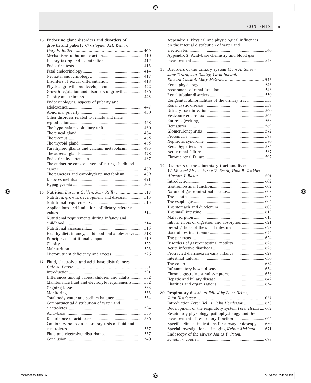| 15 | Endocrine gland disorders and disorders of<br>growth and puberty Christopher J.H. Kelnar, |
|----|-------------------------------------------------------------------------------------------|
|    |                                                                                           |
|    |                                                                                           |
|    |                                                                                           |
|    |                                                                                           |
|    |                                                                                           |
|    |                                                                                           |
|    |                                                                                           |
|    | Physical growth and development  422                                                      |
|    | Growth regulation and disorders of growth  436                                            |
|    |                                                                                           |
|    | Endocrinological aspects of puberty and                                                   |
|    |                                                                                           |
|    |                                                                                           |
|    | Other disorders related to female and male                                                |
|    |                                                                                           |
|    |                                                                                           |
|    |                                                                                           |
|    |                                                                                           |
|    |                                                                                           |
|    | Parathyroid glands and calcium metabolism 473                                             |
|    |                                                                                           |
|    |                                                                                           |
|    | The endocrine consequences of curing childhood                                            |
|    |                                                                                           |
|    | The pancreas and carbohydrate metabolism  489                                             |
|    |                                                                                           |
|    |                                                                                           |
| 16 |                                                                                           |
|    | Nutrition Barbara Golden, John Reilly  513                                                |
|    | Nutrition, growth, development and disease  513                                           |
|    | Applications and limitations of dietary reference                                         |
|    |                                                                                           |
|    | Nutritional requirements during infancy and                                               |
|    |                                                                                           |
|    |                                                                                           |
|    | Healthy diet: infancy, childhood and adolescence 518                                      |
|    |                                                                                           |
|    |                                                                                           |
|    |                                                                                           |
|    |                                                                                           |
|    | Micronutrient deficiency and excess 526                                                   |
| 17 | Fluid, electrolyte and acid-base disturbances                                             |
|    |                                                                                           |
|    |                                                                                           |
|    | Differences among babies, children and adults 532                                         |
|    | Maintenance fluid and electrolyte requirements 532                                        |
|    |                                                                                           |
|    |                                                                                           |
|    | Total body water and sodium balance  534                                                  |
|    | Compartmental distribution of water and                                                   |
|    |                                                                                           |
|    |                                                                                           |
|    |                                                                                           |
|    | Cautionary notes on laboratory tests of fluid and                                         |
|    |                                                                                           |
|    |                                                                                           |
|    |                                                                                           |
|    |                                                                                           |

|    | Appendix 1: Physical and physiological influences      |  |
|----|--------------------------------------------------------|--|
|    | on the internal distribution of water and              |  |
|    |                                                        |  |
|    | Appendix 2: Acid-base chemistry and blood gas          |  |
|    |                                                        |  |
|    |                                                        |  |
| 18 | Disorders of the urinary system Moin A. Saleem,        |  |
|    | Jane Tizard, Jan Dudley, Carol Inward,                 |  |
|    | Richard Coward, Mary McGraw  545                       |  |
|    |                                                        |  |
|    |                                                        |  |
|    |                                                        |  |
|    | Congenital abnormalities of the urinary tract 555      |  |
|    |                                                        |  |
|    |                                                        |  |
|    |                                                        |  |
|    |                                                        |  |
|    |                                                        |  |
|    |                                                        |  |
|    |                                                        |  |
|    |                                                        |  |
|    |                                                        |  |
|    |                                                        |  |
|    |                                                        |  |
|    |                                                        |  |
|    |                                                        |  |
| 19 | Disorders of the alimentary tract and liver            |  |
|    | W. Michael Bisset, Susan V. Beath, Huw R. Jenkins,     |  |
|    |                                                        |  |
|    |                                                        |  |
|    |                                                        |  |
|    |                                                        |  |
|    |                                                        |  |
|    |                                                        |  |
|    |                                                        |  |
|    |                                                        |  |
|    |                                                        |  |
|    | Inborn errors of digestion and absorption 621          |  |
|    |                                                        |  |
|    |                                                        |  |
|    |                                                        |  |
|    |                                                        |  |
|    |                                                        |  |
|    |                                                        |  |
|    | Protracted diarrhoea in early infancy  629             |  |
|    |                                                        |  |
|    |                                                        |  |
|    |                                                        |  |
|    |                                                        |  |
|    |                                                        |  |
|    |                                                        |  |
|    |                                                        |  |
| 20 | Respiratory disorders Edited by Peter Helms,           |  |
|    |                                                        |  |
|    | Introduction Peter Helms, John Henderson  658          |  |
|    | Development of the respiratory system Peter Helms  662 |  |
|    | Respiratory physiology, pathophysiology and the        |  |
|    | measurement of respiratory function 664                |  |
|    | Specific clinical indications for airway endoscopy 680 |  |
|    | Special investigations - imaging Keiran McHugh  671    |  |
|    | Endoscopy of the airway James Y. Paton,                |  |
|    |                                                        |  |
|    |                                                        |  |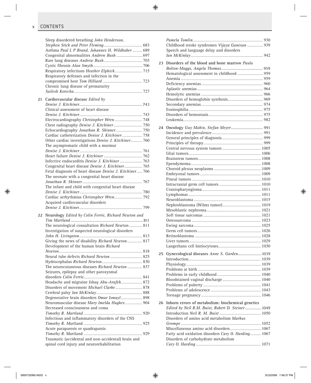# **x** CONTENTS

|    | Sleep disordered breathing John Henderson,                                                        |  |
|----|---------------------------------------------------------------------------------------------------|--|
|    |                                                                                                   |  |
|    | Asthma Paul L P Brand, Johannes H. Wildhaber  689                                                 |  |
|    | Congenital abnormalities Andrew Bush  697                                                         |  |
|    |                                                                                                   |  |
|    |                                                                                                   |  |
|    | Respiratory infections Heather Elphick 715                                                        |  |
|    | Respiratory defenses and infection in the                                                         |  |
|    |                                                                                                   |  |
|    | Chronic lung disease of prematurity                                                               |  |
|    |                                                                                                   |  |
|    |                                                                                                   |  |
| 21 | Cardiovascular disease Edited by                                                                  |  |
|    |                                                                                                   |  |
|    | Clinical assessment of heart disease                                                              |  |
|    |                                                                                                   |  |
|    | Electrocardiography Christopher Wren 748                                                          |  |
|    | Chest radiography Denise J. Kitchiner 750                                                         |  |
|    | Echocardiography Jonathan R. Skinner 750                                                          |  |
|    | Cardiac catheterization Denise J. Kitchiner 758                                                   |  |
|    | Other cardiac investigations Denise J. Kitchiner 760                                              |  |
|    | The asymptomatic child with a murmur                                                              |  |
|    |                                                                                                   |  |
|    |                                                                                                   |  |
|    |                                                                                                   |  |
|    |                                                                                                   |  |
|    | Congenital heart disease Denise J. Kitchiner 765                                                  |  |
|    | Fetal diagnosis of heart disease Denise J. Kitchiner 766                                          |  |
|    | The neonate with a congenital heart disease                                                       |  |
|    |                                                                                                   |  |
|    | The infant and child with congenital heart disease                                                |  |
|    |                                                                                                   |  |
|    |                                                                                                   |  |
|    | Cardiac arrhythmias Christopher Wren 792                                                          |  |
|    | Acquired cardiovascular disorders                                                                 |  |
|    |                                                                                                   |  |
|    |                                                                                                   |  |
| 22 | Neurology Edited by Colin Ferrie, Richard Newton and                                              |  |
|    |                                                                                                   |  |
|    | The neurological consultation Richard Newton  811                                                 |  |
|    | Investigation of suspected neurological disorders                                                 |  |
|    |                                                                                                   |  |
|    | Giving the news of disability Richard Newton  817                                                 |  |
|    | Development of the human brain Richard                                                            |  |
|    |                                                                                                   |  |
|    | Neural tube defects Richard Newton  825                                                           |  |
|    |                                                                                                   |  |
|    | The neurocutaneous diseases Richard Newton  837                                                   |  |
|    | Seizures, epilepsy and other paroxysmal                                                           |  |
|    |                                                                                                   |  |
|    |                                                                                                   |  |
|    | Headache and migraine Ishaq Abu-Arafeh 872                                                        |  |
|    |                                                                                                   |  |
|    |                                                                                                   |  |
|    | Degenerative brain disorders Omar Ismayl 898                                                      |  |
|    | Neuromuscular disease Mary Imelda Hughes 904                                                      |  |
|    | Decreased consciousness and coma                                                                  |  |
|    |                                                                                                   |  |
|    | Infectious and inflammatory disorders of the CNS                                                  |  |
|    |                                                                                                   |  |
|    | Acute paraparesis or quadraparsis                                                                 |  |
|    |                                                                                                   |  |
|    | Traumatic (accidental and non-accidental) brain and<br>spinal cord injury and neurorehabilitation |  |

|    | Childhood stroke syndromes Vijaya Ganesan  939      |  |
|----|-----------------------------------------------------|--|
|    | Speech and language delay and disorders             |  |
|    |                                                     |  |
|    |                                                     |  |
| 23 | Disorders of the blood and bone marrow Paula        |  |
|    |                                                     |  |
|    | Hematological assessment in childhood  959          |  |
|    |                                                     |  |
|    |                                                     |  |
|    |                                                     |  |
|    |                                                     |  |
|    |                                                     |  |
|    |                                                     |  |
|    |                                                     |  |
|    |                                                     |  |
|    |                                                     |  |
|    |                                                     |  |
| 24 | Oncology Guy Makin, Stefan Meyer 991                |  |
|    |                                                     |  |
|    |                                                     |  |
|    |                                                     |  |
|    |                                                     |  |
|    |                                                     |  |
|    |                                                     |  |
|    |                                                     |  |
|    |                                                     |  |
|    |                                                     |  |
|    |                                                     |  |
|    |                                                     |  |
|    |                                                     |  |
|    |                                                     |  |
|    |                                                     |  |
|    |                                                     |  |
|    |                                                     |  |
|    |                                                     |  |
|    |                                                     |  |
|    |                                                     |  |
|    |                                                     |  |
|    |                                                     |  |
|    |                                                     |  |
|    |                                                     |  |
|    |                                                     |  |
|    |                                                     |  |
|    |                                                     |  |
| 25 | Gynecological diseases Anne S. Garden 1039          |  |
|    |                                                     |  |
|    |                                                     |  |
|    |                                                     |  |
|    |                                                     |  |
|    |                                                     |  |
|    |                                                     |  |
|    |                                                     |  |
|    |                                                     |  |
|    |                                                     |  |
| 26 | Inborn errors of metabolism: biochemical genetics   |  |
|    | Edited by Neil R.M. Buist, Robert D. Steiner1049    |  |
|    |                                                     |  |
|    | Disorders of amino acid metabolism Markus           |  |
|    |                                                     |  |
|    |                                                     |  |
|    | Miscellaneous amino acid disorders 1067             |  |
|    | Fatty acid oxidation disorders Cary O. Harding 1067 |  |
|    | Disorders of carbohydrate metabolism                |  |
|    |                                                     |  |

 $\bigoplus$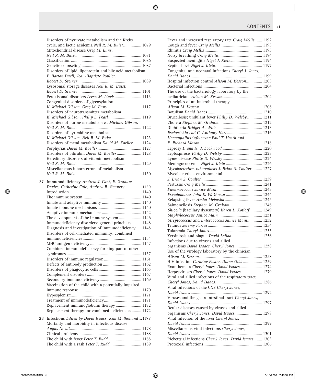# CONTENTS **xi**

|    | Disorders of pyruvate metabolism and the Krebs                                       |  |
|----|--------------------------------------------------------------------------------------|--|
|    | cycle, and lactic acidemia Neil R. M. Buist 1079                                     |  |
|    | Mitochondrial disease Greg M. Enns,                                                  |  |
|    |                                                                                      |  |
|    |                                                                                      |  |
|    |                                                                                      |  |
|    | Disorders of lipid, lipoprotein and bile acid metabolism                             |  |
|    | P. Barton Duell, Jean-Baptiste Roullet,                                              |  |
|    |                                                                                      |  |
|    | Lysosomal storage diseases Neil R. M. Buist,                                         |  |
|    |                                                                                      |  |
|    | Peroxisomal disorders Leesa M. Linck  1113                                           |  |
|    | Congenital disorders of glycosylation                                                |  |
|    | K. Michael Gibson, Greg M. Enns 1117                                                 |  |
|    | Disorders of neurotransmitter metabolism                                             |  |
|    | K. Michael Gibson, Philip L. Pearl 1119                                              |  |
|    | Disorders of purine metabolism K. Michael Gibson,                                    |  |
|    |                                                                                      |  |
|    | Disorders of pyrimidine metabolism                                                   |  |
|    | K. Michael Gibson, Neil R. M. Buist 1123                                             |  |
|    | Disorders of metal metabolism David M. Koeller 1124                                  |  |
|    |                                                                                      |  |
|    | Disorders of bilirubin David M. Koeller 1128                                         |  |
|    | Hereditary disorders of vitamin metabolism                                           |  |
|    |                                                                                      |  |
|    | Miscellaneous inborn errors of metabolism                                            |  |
|    |                                                                                      |  |
| 27 | Immunodeficiency Andrew J. Cant, E. Graham                                           |  |
|    | Davies, Catherine Cale, Andrew R. Gennery 1139                                       |  |
|    |                                                                                      |  |
|    |                                                                                      |  |
|    |                                                                                      |  |
|    |                                                                                      |  |
|    |                                                                                      |  |
|    | The development of the immune system  1146                                           |  |
|    | Immunodeficiency disorders: general principles 1148                                  |  |
|    | Diagnosis and investigation of immunodeficiency 1148                                 |  |
|    |                                                                                      |  |
|    |                                                                                      |  |
|    | Disorders of cell-mediated immunity: combined                                        |  |
|    |                                                                                      |  |
|    |                                                                                      |  |
|    | Combined immunodeficiency forming part of other                                      |  |
|    |                                                                                      |  |
|    |                                                                                      |  |
|    |                                                                                      |  |
|    |                                                                                      |  |
|    |                                                                                      |  |
|    |                                                                                      |  |
|    | Vaccination of the child with a potentially impaired                                 |  |
|    |                                                                                      |  |
|    |                                                                                      |  |
|    | Replacement immunoglobulin therapy 1172                                              |  |
|    | Replacement therapy for combined deficiencies 1172                                   |  |
|    |                                                                                      |  |
|    | Infections Edited by David Isaacs, Kim Mulholland1177                                |  |
|    | Mortality and morbidity in infectious disease                                        |  |
| 28 |                                                                                      |  |
|    |                                                                                      |  |
|    | The child with fever Peter T. Rudd 1188<br>The child with a rash Peter T. Rudd  1189 |  |

|                                                        | Fever and increased respiratory rate Craig Mellis 1192 |
|--------------------------------------------------------|--------------------------------------------------------|
|                                                        |                                                        |
|                                                        |                                                        |
|                                                        |                                                        |
| Suspected meningitis Nigel J. Klein  1194              |                                                        |
|                                                        |                                                        |
| Congenital and neonatal infections Cheryl J. Jones,    |                                                        |
|                                                        |                                                        |
| Hospital infection control Alison M. Kesson 1203       |                                                        |
|                                                        |                                                        |
| The use of the bacteriology laboratory by the          |                                                        |
|                                                        |                                                        |
| Principles of antimicrobial therapy                    |                                                        |
|                                                        |                                                        |
|                                                        |                                                        |
| Brucellosis; undulant fever Philip D. Welsby 1211      |                                                        |
|                                                        |                                                        |
|                                                        |                                                        |
| Escherichia coli C. Anthony Hart 1216                  |                                                        |
| Haemophilus influenzae Paul T. Heath and               |                                                        |
|                                                        |                                                        |
|                                                        |                                                        |
|                                                        |                                                        |
|                                                        |                                                        |
| Meningococcemia Nigel J. Klein  1226                   |                                                        |
| Mycobacterium tuberculosis J. Brian S. Coulter 1227    |                                                        |
| Mycobacteria - environmental                           |                                                        |
|                                                        |                                                        |
|                                                        |                                                        |
|                                                        |                                                        |
| Pseudomonas John R. W. Govan  1244                     |                                                        |
|                                                        |                                                        |
| Salmonellosis Stephen M. Graham  1246                  |                                                        |
| Shigella (bacillary dysentery) Karen L. Kotloff 1249   |                                                        |
|                                                        |                                                        |
| Streptococcus and Enterococcus Janice Main 1252        |                                                        |
|                                                        |                                                        |
|                                                        |                                                        |
|                                                        |                                                        |
| Yersiniosis and plague David Lalloo 1256               |                                                        |
| Infections due to viruses and allied                   |                                                        |
| organisms David Isaacs, Cheryl Jones 1258              |                                                        |
| Use of the virology laboratory by the clinician        |                                                        |
|                                                        |                                                        |
| HIV infection Caroline Foster, Diana Gibb  1259        |                                                        |
| Exanthemata Cheryl Jones, David Isaacs 1274            |                                                        |
| Herpesviruses Cheryl Jones, David Isaacs 1279          |                                                        |
| Viral and allied infections of the respiratory tract   |                                                        |
|                                                        |                                                        |
| Viral infections of the CNS Cheryl Jones,              |                                                        |
|                                                        |                                                        |
| Viruses and the gastrointestinal tract Cheryl Jones,   |                                                        |
|                                                        |                                                        |
| Ocular diseases caused by viruses and allied           |                                                        |
| organisms Cheryl Jones, David Isaacs 1298              |                                                        |
| Viral infection of the liver Cheryl Jones,             |                                                        |
|                                                        |                                                        |
| Miscellaneous viral infections Cheryl Jones,           |                                                        |
|                                                        |                                                        |
| Rickettsial infections Cheryl Jones, David Isaacs 1303 |                                                        |

 $\bigoplus$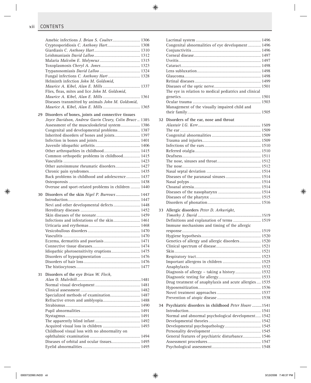## **xii** CONTENTS

|    | Amebic infections J. Brian S. Coulter 1306             |
|----|--------------------------------------------------------|
|    | Cryptosporidiosis C. Anthony Hart 1308                 |
|    |                                                        |
|    |                                                        |
|    |                                                        |
|    |                                                        |
|    |                                                        |
|    | Fungal infections C. Anthony Hart  1328                |
|    | Helminth infection John M. Goldsmid,                   |
|    |                                                        |
|    | Flies, fleas, mites and lice John M. Goldsmid,         |
|    |                                                        |
|    | Diseases transmitted by animals John M. Goldsmid,      |
|    |                                                        |
|    |                                                        |
| 29 | Disorders of bones, joints and connective tissues      |
|    | Joyce Davidson, Andrew Gavin Cleary, Colin Bruce  1385 |
|    | Assessment of the musculoskeletal system 1386          |
|    | Congenital and developmental problems 1387             |
|    | Inherited disorders of bones and joints 1397           |
|    |                                                        |
|    |                                                        |
|    |                                                        |
|    | Common orthopedic problems in childhood 1415           |
|    |                                                        |
|    | Other autoimmune rheumatic disorders 1427              |
|    |                                                        |
|    | Back problems in childhood and adolescence 1437        |
|    |                                                        |
|    | Overuse and sport-related problems in children  1440   |
|    |                                                        |
| 30 | Disorders of the skin Nigel P. Burrows  1447           |
|    |                                                        |
|    | Nevi and other developmental defects 1448              |
|    |                                                        |
|    |                                                        |
|    |                                                        |
|    | Infections and infestations of the skin 1461           |
|    |                                                        |
|    |                                                        |
|    |                                                        |
|    |                                                        |
|    |                                                        |
|    |                                                        |
|    | Idiopathic photosensitivity eruptions 1475             |
|    |                                                        |
|    |                                                        |
|    |                                                        |
| 31 | Disorders of the eye Brian W. Fleck,                   |
|    |                                                        |
|    |                                                        |
|    |                                                        |
|    | Specialized methods of examination 1487                |
|    |                                                        |
|    |                                                        |
|    |                                                        |
|    |                                                        |
|    |                                                        |
|    |                                                        |
|    |                                                        |
|    | Childhood visual loss with no abnormality on           |
|    |                                                        |
|    | Diseases of orbital and ocular tissues 1495            |

|    | Congenital abnormalities of eye development  1496       |  |
|----|---------------------------------------------------------|--|
|    |                                                         |  |
|    |                                                         |  |
|    |                                                         |  |
|    |                                                         |  |
|    |                                                         |  |
|    |                                                         |  |
|    |                                                         |  |
|    |                                                         |  |
|    | The eye in relation to medical pediatrics and clinical  |  |
|    |                                                         |  |
|    |                                                         |  |
|    | Management of the visually impaired child and           |  |
|    |                                                         |  |
|    |                                                         |  |
| 32 | Disorders of the ear, nose and throat                   |  |
|    |                                                         |  |
|    |                                                         |  |
|    |                                                         |  |
|    |                                                         |  |
|    |                                                         |  |
|    |                                                         |  |
|    |                                                         |  |
|    |                                                         |  |
|    |                                                         |  |
|    |                                                         |  |
|    |                                                         |  |
|    |                                                         |  |
|    |                                                         |  |
|    |                                                         |  |
|    |                                                         |  |
|    |                                                         |  |
| 33 | Allergic disorders Peter D. Arkwright,                  |  |
|    |                                                         |  |
|    | Definitions and explanation of terms  1519              |  |
|    | Immune mechanisms and timing of the allergic            |  |
|    |                                                         |  |
|    |                                                         |  |
|    | Genetics of allergy and allergic disorders 1520         |  |
|    |                                                         |  |
|    |                                                         |  |
|    |                                                         |  |
|    |                                                         |  |
|    |                                                         |  |
|    | Diagnosis of allergy - taking a history 1532            |  |
|    |                                                         |  |
|    | Drug treatment of anaphylaxis and acute allergies  1535 |  |
|    |                                                         |  |
|    |                                                         |  |
|    |                                                         |  |
|    |                                                         |  |
|    |                                                         |  |
| 34 | Psychiatric disorders in childhood Peter Hoare  1541    |  |
|    |                                                         |  |
|    | Normal and abnormal psychological development 1542      |  |
|    |                                                         |  |
|    |                                                         |  |
|    |                                                         |  |
|    | General features of psychiatric disturbance 1546        |  |
|    |                                                         |  |

 $\bigoplus$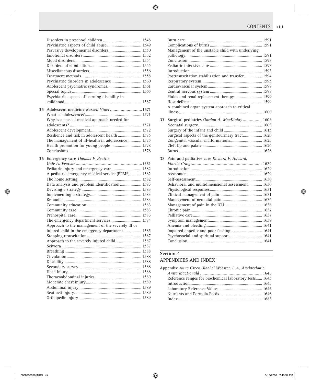| CONTENTS | X111 |
|----------|------|
|----------|------|

|    | Psychiatric aspects of child abuse  1549          |  |
|----|---------------------------------------------------|--|
|    | Pervasive developmental disorders 1550            |  |
|    |                                                   |  |
|    |                                                   |  |
|    |                                                   |  |
|    |                                                   |  |
|    |                                                   |  |
|    | Psychiatric disorders in adolescence  1560        |  |
|    | Adolescent psychiatric syndromes 1561             |  |
|    |                                                   |  |
|    | Psychiatric aspects of learning disability in     |  |
|    |                                                   |  |
| 35 | Adolescent medicine Russell Viner1571             |  |
|    |                                                   |  |
|    |                                                   |  |
|    | Why is a special medical approach needed for      |  |
|    |                                                   |  |
|    |                                                   |  |
|    | Resilience and risk in adolescent health  1575    |  |
|    | The management of ill-health in adolescence 1575  |  |
|    | Health promotion for young people 1578            |  |
|    |                                                   |  |
| 36 | Emergency care Thomas F. Beattie,                 |  |
|    |                                                   |  |
|    | Pediatric injury and emergency care 1582          |  |
|    | A pediatric emergency medical service (PEMS) 1582 |  |
|    |                                                   |  |
|    | Data analysis and problem identification 1583     |  |
|    |                                                   |  |
|    |                                                   |  |
|    |                                                   |  |
|    |                                                   |  |
|    |                                                   |  |
|    |                                                   |  |
|    | The emergency department services 1584            |  |
|    | Approach to the management of the severely ill or |  |
|    | injured child in the emergency department 1585    |  |
|    |                                                   |  |
|    | Approach to the severely injured child 1587       |  |
|    |                                                   |  |
|    |                                                   |  |
|    |                                                   |  |
|    |                                                   |  |
|    |                                                   |  |
|    |                                                   |  |
|    |                                                   |  |
|    |                                                   |  |
|    |                                                   |  |
|    |                                                   |  |
|    |                                                   |  |
|    |                                                   |  |

|    | Management of the unstable child with underlying  |  |
|----|---------------------------------------------------|--|
|    |                                                   |  |
|    |                                                   |  |
|    |                                                   |  |
|    |                                                   |  |
|    | Postresuscitation stabilization and transfer 1594 |  |
|    |                                                   |  |
|    |                                                   |  |
|    |                                                   |  |
|    | Fluids and renal replacement therapy 1599         |  |
|    |                                                   |  |
|    | A combined organ system approach to critical      |  |
|    |                                                   |  |
| 37 | Surgical pediatrics Gordon A. MacKinlay 1603      |  |
|    |                                                   |  |
|    |                                                   |  |
|    | Surgical aspects of the genitourinary tract 1620  |  |
|    | Congenital vascular malformations 1625            |  |
|    |                                                   |  |
|    |                                                   |  |
|    |                                                   |  |
| 38 | Pain and palliative care Richard F. Howard,       |  |
|    |                                                   |  |
|    |                                                   |  |
|    |                                                   |  |
|    |                                                   |  |
|    | Behavioral and multidimensional assessment 1630   |  |
|    |                                                   |  |
|    |                                                   |  |
|    |                                                   |  |
|    |                                                   |  |
|    |                                                   |  |
|    |                                                   |  |
|    |                                                   |  |
|    |                                                   |  |
|    | Impaired appetite and poor feeding  1641          |  |
|    | Psychosocial and spiritual support 1641           |  |
|    |                                                   |  |
|    |                                                   |  |

## **Section 4**

**APPENDICES AND INDEX** 

| Reference ranges for biochemical laboratory tests 1645 |  |
|--------------------------------------------------------|--|
|                                                        |  |
|                                                        |  |
|                                                        |  |
|                                                        |  |

 $\bigoplus$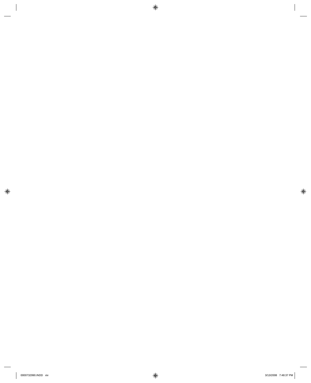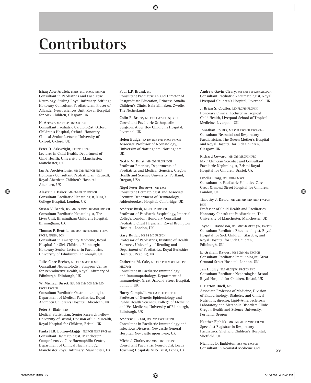# **Contributors**

Ishaq Abu-Arafeh, MBBS, MD, MRCP, FRCPCH Consultant in Paediatrics and Paediatric Neurology, Stirling Royal Infirmary, Stirling; Honorary Consultant Paediatrician, Fraser of Allander Neurosciences Unit, Royal Hospital for Sick Children, Glasgow, UK

N. Archer, MA FRCP FRCPCH DCH Consultant Paediatric Cardiologist, Oxford Children's Hospital, Oxford; Honorary Clinical Senior Lecturer, University of Oxford, Oxford, UK

Peter D. Arkwright, FRCPCH DPhil Lecturer in Child Health, Department of Child Health, University of Manchester, Manchester, UK

Ian A. Auchterlonie, MB ChB FRCPCH FRCP Honorary Consultant Paediatrician (Retired), Royal Aberdeen Children's Hospital, Aberdeen, UK

Alastair J. Baker, MB ChB FRCP FRCPCH Consultant Paediatric Hepatologist, King's College Hospital, London, UK

Susan V. Beath, BSc MB BS MRCP DTM&H FRCPCH Consultant Paediatric Hepatologist, The Liver Unit, Birmingham Childrens Hospital, Birmingham, UK

Thomas F. Beattie, MB MSc FRCSEd(A&E), FCEM, FRCPE FESEM DCH Consultant in Emergency Medicine, Royal

Hospital for Sick Children, Edinburgh; Honorary Senior Lecturer in Paediatrics, University of Edinburgh, Edinburgh, UK

**Julie-Clare Becher, MB ChB MRCPCH MD** Consultant Neonatologist, Simpson Centre for Reproductive Health, Royal Infirmary of Edinburgh, Edinburgh, UK

W. Michael Bisset, BSc MB ChB DCH MSc MD FRCPE FRCPCH

Consultant Paediatric Gastroenterologist, Department of Medical Paediatrics, Royal Aberdeen Children's Hospital, Aberdeen, UK

Peter S. Blair, PhD Medical Statistician, Senior Research Fellow, University of Bristol, Division of Child Health, Royal Hospital for Children, Bristol, UK

Paula H.B. Bolton-Maggs, FRCPCH FRCP FRCPath Consultant Haematologist, Manchester Comprehensive Care Haemophilia Centre, Department of Clinical Haematology, Manchester Royal Infirmary, Manchester, UK

#### Paul L.P. Brand, MD

Consultant Paediatrician and Director of Postgraduate Education, Princess Amalia Children's Clinic, Isala klinieken, Zwolle, The Netherlands

⊕

Colin E. Bruce, MB ChB FRCS FRCS(ORTH) Consultant Paediatric Orthopaedic Surgeon, Alder Hey Children's Hospital, Liverpool, UK

**Helen Budge**, BA BM BCh PhD MRCP FRPCH Associate Professor of Neonatology, University of Nottingham, Nottingham, **IK** 

Neil R.M. Buist, MB ChB FRCPE DCH Professor Emeritus, Departments of Paediatrics and Medical Genetics, Oregon Health and Science University, Portland, Oregon, USA

**Nigel Peter Burrows, MD FRCP** Consultant Dermatologist and Associate Lecturer, Department of Dermatology, Addenbrooke's Hospital, Cambridge, UK

**Andrew Bush, MD FRCP FRCPCH** Professor of Paediatric Respirology, Imperial College, London; Honorary Consultant Paediatric Chest Physician, Royal Brompton Hospital, London, UK

Gary Butler, MB BS MD FRCPCH Professor of Paediatrics, Institute of Health Sciences, University of Reading and Department of Paediatrics, Royal Berkshire Hospital, Reading, UK

Catherine M. Cale, MB ChB PhD MRCP MRCPCH MRCPath

Consultant in Paediatric Immunology and Immunopathology, Department of Immunology, Great Ormond Street Hospital, London, UK

**Harry Campbell**, MD FRCPE FFPH FRSE Professor of Genetic Epidemiology and Public Health Sciences, College of Medicine and Vet Medicine, University of Edinburgh, Edinburgh, UK

Andrew J. Cant, BSc MD FRCP FRCPH Consultant in Paediatric Immunology and Infectious Diseases, Newcastle General Hospital, Newcastle upon Tyne, UK

**Michael Clarke, BSc MRCP DCH FRCPCH** Consultant Paediatric Neurologist, Leeds Teaching Hospitals NHS Trust, Leeds, UK Andrew Gavin Cleary, MB ChB BSc MSc MRCPCH Consultant Paediatric Rheumatologist, Royal Liverpool Children's Hospital, Liverpool, UK

**J. Brian S. Coulter, MD FRCP(I) FRCPCH** Honorary Clinical Lecturer in Tropical Child Health, Liverpool School of Tropical Medicine, Liverpool, UK

Jonathan Coutts, MB ChB FRCPCH FRCP(Glas) Consultant Neonatal and Respiratory Paediatrician, The Queen Mother's Hospital and Royal Hospital for Sick Children, Glasgow, UK

**Richard Coward**, MB ChB MRCPCH PhD MRC Clinician Scientist and Consultant Paediatric Nephrologist, Bristol Royal Hospital for Children, Bristol, UK

Finella Craig, BSc MBBS MRCP Consultant in Paediatric Palliative Care, Great Ormond Street Hospital for Children, London, UK

Timothy J. David, MB ChB MD PhD FRCP FRCPCH DCH

Professor of Child Health and Paediatrics, Honorary Consultant Paediatrician, The University of Manchester, Manchester, UK

Joyce E. Davidson, BSc MBChB MRCP (UK) FRCPCH Consultant Paediatric Rheumatologist, Royal Hospital for Sick Children, Glasgow, and Royal Hospital for Sick Children, Edinburgh, UK

**E. Graham Davies, MB BChir MA FRCPCH** Consultant Paediatric Immunologist, Great Ormond Street Hospital, London, UK

Jan Dudley, BM MRCP(UK) FRCPCH PhD Consultant Paediatric Nephrologist, Bristol Royal Hospital for Children, Bristol, UK

#### **P. Barton Duell, MD**

Associate Professor of Medicine, Division of Endocrinology, Diabetes, and Clinical Nutrition; director, Lipid-Atherosclerosis Laboratory and Metabolic Disorders Clinic, Oregon Health and Science University, Portland, Oregon

Heather Elphick, MB ChB MRCP MRCPCH MD Specialist Registrar in Respiratory Paediatrics, Sheffield Children's Hospital, Sheffield, UK

**Nicholas D. Embleton**, BSc MD FRCPCH Consultant in Neonatal Medicine and

**xv**

◈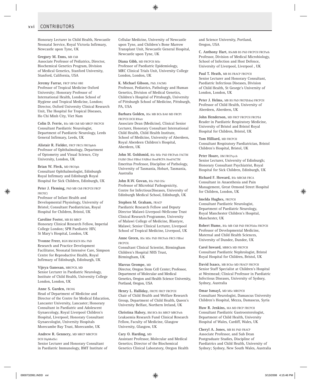#### **xvi** CONTRIBUTORS

Honorary Lecturer in Child Health, Newcastle Neonatal Service, Royal Victoria Infirmary, Newcastle upon Tyne, UK

Gregory M. Enns, MB ChB Associate Professor of Pediatrics, Director, Biochemical Genetics Program, Division of Medical Genetics, Stanford University, Stanford, California, USA

**Jeremy Farrar**, FRCP DPhil OBE Professor of Tropical Medicine Oxford University; Honorary Professor of International Health, London School of Hygiene and Tropical Medicine, London; Director, Oxford University Clinical Research Unit, The Hospital for Tropical Diseases, Ho Chi Minh City, Viet Nam

Colin D. Ferrie, BSc MB ChB MD MRCP FRCPCH Consultant Paediatric Neurologist, Department of Paediatric Neurology, Leeds General Infirmary, Leeds, UK

Alistair R. Fielder, FRCP FRCS FRCOphth Professor of Ophthalmology, Department of Optometry and Visual Science, City University, London, UK

**Brian W. Fleck, MD FRCOph** Consultant Ophthalmologist, Edinburgh Royal Infirmary and Edinburgh Royal Hospital for Sick Children, Edinburgh, UK

#### Peter J. Fleming, PhD MB ChB FRCPCH FRCP FRCP(C)

Professor of Infant Health and Developmental Physiology, University of Bristol; Consultant Paediatrician, Royal Hospital for Children, Bristol, UK

**Caroline Foster, MB BS MRCP** Honorary Clinical Research Fellow, Imperial College London; SPR Paediatric HIV, St Mary's Hospital, London, UK

Yvonne Freer, RGN RM RSCN BSc PhD Research and Practice Development Facilitator, Neonatal Intensive Care, Simpson Centre for Reproductive Health, Royal Infirmary of Edinburgh, Edinburgh, UK

Vijeya Ganesan, MRCPCH, MD Senior Lecturer in Paediatric Neurology, Institute of Child Health, University College London, London, UK

#### Anne S. Garden, FRCOG

Head of Department of Medicine and Director of the Centre for Medical Education, Lancaster University, Lancaster; Honorary Consultant in Paediatric and Adolescent Gynaecology, Royal Liverpool Children's Hospital, Liverpool; Honorary Consultant Gynaecologist, University Hospitals Morecambe Bay Trust, Morecambe, UK

Andrew R. Gennery, MD MRCP MRCPCH DCH DipMedSci

Senior Lecturer and Honorary Consultant in Paediatric Immunology, BMT Institute of Cellular Medicine, University of Newcastle upon Tyne, and Children's Bone Marrow Transplant Unit, Newcastle General Hospital, Newcastle upon Tyne, UK

⊕

Diana Gibb, MD FRCPCH MSc Professor of Paediatric Epidemiology, MRC Clinical Trials Unit, University College London, London, UK

K. Michael Gibson, PhD, FACMG Professor, Pediatrics, Pathology and Human Genetics, Division of Medical Genetics, Children's Hospital of Pittsburgh, University of Pittsburgh School of Medicine, Pittsburgh, PA, USA

**Barbara Golden ,** BSc MB BCh BAO MD FRCPI FRCPCH DCH RNutr

Associate Dean (Medicine), Clinical Senior Lecturer, Honorary Consultant International Child Health, Child Health Institute, School of Medicine, University of Aberdeen, Royal Aberdeen Children's Hospital, Aberdeen, UK

John M. Goldsmid, BSc MSc PhD FRCPath FACTM FASM CBiol FIBiol FAIBiol HonFRCPA HonFACTM Emeritus Professor, Discipline of Pathology, University of Tasmania, Hobart, Tasmania, Australia

John R.W. Govan, BSc PhD DSc Professor of Microbial Pathogenicity, Centre for Infectious Diseases, University of Edinburgh Medical School, Edinburgh, UK

Stephen M. Graham, FRACP Paediatric Research Fellow and Deputy Director Malawi-Liverpool-Wellcome Trust Clinical Research Programme, University of Malawi College of Medicine, Blantyre, Malawi; Senior Clinical Lecturer, Liverpool School of Tropical Medicine, Liverpool, UK

Anne Green, BSc MSc PhD FRCPath FRCS FIBiol FRCPCH.

Consultant Clinical Scientist, Birmingham Children's Hospital NHS Trust, Birmingham, UK

**Marcus Grompe**, MD Director, Oregon Stem Cell Center; Professor, Department of Molecular and Medical Genetics, Oregon and Health Science University, Portland, Oregon, USA

Henry L. Halliday, FRCPE FRCP FRCPCH Chair of Child Health and Welfare Research Group, Department of Child Health, Queen's University Belfast, Northern Ireland, UK

Christina Halsey, BM BCh BA MRCP MRCPath Leukaemia Research Fund Clinical Research Fellow, Faculty of Medicine, Glasgow University, Glasgow, UK

Cary O. Harding, MD Assistant Professor, Molecular and Medical Genetics; Director of the Biochemical Genetics Clinical Laboratory, Oregon Health and Science University, Portland, Oregon, USA

C. Anthony Hart, BScMB BS PhD FRCPCH FRCPath Professor, Division of Medical Microbiology, School of Infection and Host Defence, University of Liverpool, Liverpool , UK

Paul T. Heath, MB BS FRACP FRCPCH Senior Lecturer and Honorary Consultant, Paediatric Infectious Diseases, Division of Child Health, St George's University of London, London, UK

Peter J. Helms, MB BS PhD FRCP(Edin) FRCPCH Professor of Child Health, University of Aberdeen, Aberdeen, UK

John Henderson, MD FRCP FRCPCH FRCPEd Reader in Paediatric Respiratory Medicine, University of Bristol and Bristol Royal Hospital for Children, Bristol, UK

Tom Hilliard, MD FRCPCH Consultant Respiratory Paediatrician, Bristol Children's Hospital, Bristol, UK

Peter Hoare, DM FRCPsych Senior Lecturer, University of Edinburgh; Honorary Consultant Psychiatrist, Royal Hospital for Sick Children, Edinburgh, UK

**Richard F. Howard, BSc MBChB FRCA** Consultant in Anaesthesia and Pain Management, Great Ormond Street Hospital for Children, London, UK

**Imelda Hughes**, FRCPCH Consultant Paediatric Neurologist, Department of Paediatric Neurology, Royal Manchester Children's Hospital, Manchester, UK

Robert Hume, BSc MB ChB PhD FRCPEdin FRCPCH Professor of Developmental Medicine, Maternal and Child Health Sciences, University of Dundee, Dundee, UK

Carol Inward, MBBCh MD FRCPCH Consultant Paediatric Nephrologist, Bristol Royal Hospital for Children, Bristol, UK

David Isaacs, MB BChir MD FRACP FRCPCH Senior Staff Specialist at Children's Hospital at Westmead; Clinical Professor in Paediatric Infectious Diseases, University of Sydney, Sydney, Australia

**Omar Ismayl**, MD MSc MRCPCH Consultant Neurologist, Damascus University Children's Hospital, Mezza, Damascus, Syria

Huw R. Jenkins, MA MD FRCP FRCPCH Consultant Paediatric Gastroenterologist, Department of Child Health, University Hospital of Wales, Cardiff, Wales, UK

Cheryl A. Jones, MB BS PhD FRACP Associate Professor, and Sub Dean Postgraduate Studies, Discipline of Paediatrics and Child Health, University of Sydney; Sydney, New South Wales, Australia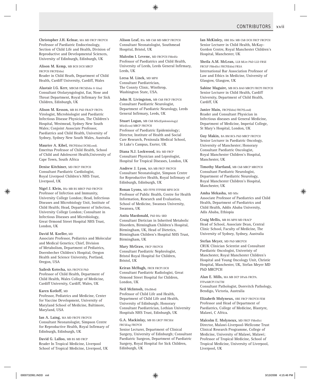⊕

Christopher J.H. Kelnar, MA MD FRCP FRCPCH Professor of Paediatric Endocrinology, Section of Child Life and Health, Division of Reproductive and Developmental Sciences, University of Edinburgh, Edinburgh, UK

**Alison M. Kemp, MB BCH DCH MRCP** FRCPCH FRCP(Edin) Reader in Child Heath, Department of Child Health, Cardiff University, Cardiff, Wales

**Alastair I.G. Kerr ,** MBChB FRCS(Edin & Glas) Consultant Otolaryngologist, Ear, Nose and Throat Department, Royal Infirmary for Sick Children, Edinburgh, UK

Alison M. Kesson, MB BS PhD FRACP FRCPA Virologist, Microbiologist and Paediatric Infectious Disease Physician, The Children's Hospital, Westmead, Sydney New South Wales; Conjoint Associate Professor, Paediatrics and Child Health, University of Sydney, Sydney New South Wales, Australia

Maurice A. Kibel, FRCP(Edin) DCH(Lond). Emeritus Professor of Child Health, School of Child and Adolescent Health,University of Cape Town, South Africa

**Denise Kitchiner, MD FRCP FRCPCH** Consultant Paediatric Cardiologist, Royal Liverpool Children's NHS Trust, Liverpool, UK

Nigel J. Klein, BSc MB BS MRCP PhD FRCPCH Professor of Infection and Immunity, University College London; Head, Infectious Diseases and Microbiology Unit, Institute of Child Health; Head, Department of Infection, University College London; Consultant in Infectious Diseases and Microbiology, Great Ormond Street Hospital NHS Trust, London, UK

David M. Koeller, MD Associate Professor, Pediatrics and Molecular and Medical Genetics; Chief, Division of Metabolism, Department of Pediatrics, Doernbecher Children's Hospital, Oregon Health and Science University, Portland,

Sailesh Kotecha, MA FRCPCH PhD Professor of Child Health, Department of Child Health, Wales College of Medicine, Cardiff University, Cardiff, Wales, UK

#### **Karen Kotloff**, MD

Oregon, USA

Professor, Pediatrics and Medicine, Center for Vaccine Development, University of Maryland School of Medicine, Baltimore, Maryland, USA

Ian A. Laing, MA MD FRCPE FRCPCH Consultant Neonatologist, Simpson Centre for Reproductive Health, Royal Infirmary of Edinburgh, Edinburgh, UK

David G. Lalloo, MB BS MD FRCP Reader In Tropical Medicine, Liverpool School of Tropical Medicine, Liverpool, UK

Alison Leaf, BSc MB ChB MD MRCP FRCPCH Consultant Neonatologist, Southmead Hospital, Bristol, UK

**Malcolm I. Levene. MD FRCPCH FMedSc** Professor of Paediatrics and Child Health, University of Leeds, Leeds General Infirmary, Leeds, UK

Leesa M. Linck, MD MPH Consultant Paediatrician, The Connty Clinic, Winthrop, Washington State, USA.

John H. Livingston, MB ChB FRCP FRCPCH Consultant Paediatric Neurologist, Department of Paediatric Neurology, Leeds General Infirmary, Leeds, UK

Stuart Logan, MB ChB MSc(Epidemiology) MSc(Econ) MRCP FRCPCH Professor of Paediatric Epidemiology; Director, Institute of Health and Social Care Research, Peninsula Medical School, St Luke's Campus, Exeter, UK

Diana N.J. Lockwood, BSc MD FRCP Consultant Physician and Leprologist, Hospital for Tropical Diseases, London, UK

Andrew J. Lyon, MA MB FRCP FRCPCH Consultant Neonatologist, Simpson Centre for Reproductive Health, Royal Infirmary of Edinburgh, Edinburgh, UK

Ronan Lyons, MD FFPH FFPHMI MPH DCH Professor of Public Health, Centre for Health Information, Research and Evaluation, School of Medicine, Swansea University, Swansea, UK

**Anita Macdonald**, PhD BSc SRD Consultant Dietician in Inherited Metabolic Disorders, Birmingham Children's Hospital, Birmingham, UK, Head of Dietetics, Birmingham Children's Hospital NHS Trust, Birmingham, UK

**Mary McGraw**, FRCP FRCPCH Consultant Paediatric Nephrologist, Bristol Royal Hospital for Children, Bristol, UK

Keiran McHugh, FRCR FRCPI DCH Consultant Paediatric Radiologist, Great Ormond Street Hospital for Children, London, UK

Neil McIntosh, DSc(Med) Professor of Child Life and Health, Department of Child Life and Health, University of Edinburgh; Honorary Consultant Paediatrician, Lothian University Hospitals NHS Trust, Edinburgh, UK

G.A. Mackinlay, MB BS LRCP FRCSEd FRCSEng FRCPCH

Senior Lecturer, Department of Clinical Surgery, University of Edinburgh; Consultant Paediatric Surgeon, Department of Paediatric Surgery, Royal Hospital for Sick Children, Edinburgh, UK

Ian McKinley, OBE BSc MB ChB DCH FRCP FRCPCH Senior Lecturer in Child Health, McKay-Gordon Centre, Royal Manchester Children's Hospital, Manchester, UK

Sheila A.M. McLean, LLB MLitt PhD LLD FRSE FRCGP FMedSci FRCP(Edin) FRSA International Bar Association Professor of Law and Ethics in Medicine, University of Glasgow, Glasgow, UK

Sabine Maguire, MB BCh BAO MRCPI FRCPI FRCPCH Senior Lecturer in Child Health, Cardiff University, Department of Child Health, Cardiff, UK

Janice Main, FRCP(Edin) FRCP(Lond) Reader and Consultant Physician in Infectious diseases and General Medicine, Department of Medicine, Imperial College, St Mary's Hospital, London, UK

Guy Makin, **BA BM BCh PhD MRCP FRCPCH** Senior Lecturer in Paediatric Oncology, University of Manchester; Honorary Consultant Paediatric Oncologist, Royal Manchester Children's Hospital, Manchester, UK

Timothy Martland, MB ChB MRCP MRCPCH Consultant Paediatric Neurologist, Department of Paediatric Neurology, Royal Manchester Children's Hospital, Manchester, UK

**Amha Mekasha ,** MD MSc Associate Professor of Paediatrics and Child Health, Department of Paediatrics and Child Health, Addis Ababa University, Adis Ababa, Ethiopia

Craig Mellis, MB BS MPH MD FRACP Head of School, Associate Dean, Central Clinic School, Faculty of Medicine, The University of Sydney, Sydney, Australia

Stefan Meyer, MD PhD MRCPCH

CRUK Clinician Scientist and Consultant Paediatric Oncologist, Univeristy of Manchester, Royal Manchester Children's Hospital and Young Oncology Unit, Christie Hospital, Manchester, UK, Stefan Meyer MD PhD MRCPCH

Alan E. Mills, MA MB DCP DPath FRCPA. FFPathRCPI FACTM Consultant Pathologist, Dorevitch Pathology, Bendigo, Victoria, Australia

Elizabeth Molyneux, OBE FRCP FRCPCH FEM Professor and Head of Department of Paediatrics, College of Medicine, Blantyre, Malawi, C Africa.

Malcolm E. Molyneux, MD FRCP FMedSci Director, Malawi-Liverpool-Wellcome Trust Clinical Research Programme, College of Medicine, University of Malawi, Malawi; Professor of Tropical Medicine, School of Tropical Medicine, University of Liverpool, Liverpool, UK

⊕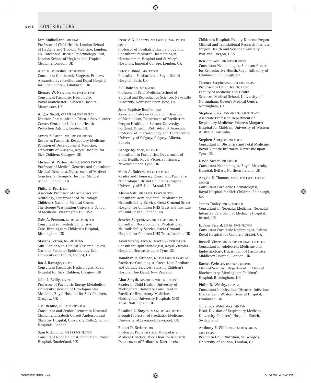#### **xviii** CONTRIBUTORS

**Kim Mulholland**, MD FRACP Professor of Child Health, London School of Hygiene and Tropical Medicine, London, UK, Infectious Disease Epidemiology Unit, London School of Hygiene and Tropical Medicine, London, UK

Alan O. Mulvihill, FRCSI FRCSEd Consultant Ophthalmic Surgeon, Princess Alexandra Eye Pavilion and Royal Hospital for Sick Children, Edinburgh, UK

**Richard W. Newton, MD FRCPCH FRCP** Consultant Paediatric Neurologist, Royal Manchester Children's Hospital, Manchester, UK

Angus Nicoll, CBE FFPHM FRCP FRCPCH Director, Communicable Disease Surveilaance Centre, Centre for Infection, Health Protection Agency, London, UK

James Y. Paton, MD, FRCPCH FRCPSG Reader in Paediatric Respiratory Medicine, Division of Developmental Medicine, University of Glasgow, Royal Hospital for Sick Children, Glasgow, UK

Michael A. Patton, MA MSc MBChB FRCPCH Professor of Medical Genetics and Consultant Medical Geneticist, Department of Medical Genetics, St George's Hospital Medical School, London, UK

Philip L. Pearl, MD Associate Professor of Paediatrics and Neurology, Department of Neurology, Children's National Medical Center, The George Washington University School of Medicine, Washington DC, USA

Gale A. Pearson, MB BS MRCP FRCPCH Consultant in Paediatric Intensive Care, Birmingham Children's Hospital, Birmingham, UK

Stavros Petrou, BSc MPhil PhD MRC Senior Non-Clinical Research Fellow, National Perinatal Epidemiology Unit, University of Oxford, Oxford, UK

Ian J. Ramage, FRCPCH Consultant Paediatric Nephrologist, Royal Hospital for Sick Children, Glasgow, UK

John J. Reilly, BSc PhD Professor of Paediatric Energy Metabolism, University Division of Developmental Medicine, Royal Hospital for Sick Children, Glasgow, UK

**J.M. Rennie, MD FRCP FRCPCH DCH** Consultant and Senior Lecturer in Neonatal Medicine, Elizabeth Garrett Anderson and Obstetric Hospital, University College London Hospitals, London

Sam Richmond, MB BS FRCP FRCPCH Consultant Neonatologist, Sunderland Royal Hospital, Sunderland, UK

Irene A.G. Roberts, MD FRCP FRCPath FRCPCH DRCOG

⊕

Professor of Paediatric Haematology and Consultant Paediatric Haematologist, Hammersmith Hospital and St Mary's Hospitals, Imperial College, London, UK

Peter T. Rudd, MD FRCPCH Consultant Paediatrician, Royal United Hospital, Bath, UK

S.C. Robson, MD MRCOG Professor of Fetal Medicine, School of Surgical and Reproductive Sciences, Newcastle University, Newcastle upon Tyne, UK

Jean-Baptiste Roullet, PhD Associate Professor (Research), Division of Metabolism, Department of Paediatrics, Oregon Health and Science University, Portland, Oregon, USA; Adjunct Associate Professor of Pharmacology and Therapeutics, University of Calgary, Calgary, Alberta, Canada

**George Rylance**, MB FRCPCH Consultant in Paediatrics, Department of Child Health, Royal Victoria Infirmary, Newcastle upon Tyne, UK

**Moin A. Saleem, MB BS FRCP PhD** Reader and Honorary Consultant Paediatric Nephrologist, Bristol Children's Hospital, University of Bristol, Bristol, UK

Alison Salt, MB BS MSc FRACP FRCPCH Consultant Developmental Paediatrician, Neurodisability Service, Great Ormond Street Hospital for Children NHS Trust and Institute of Child Health, London, UK

**Jenefer Sargent**, MA MB BCh MSc MRCPCH Consultant Developmental Paediatrician, Neurodisability Service, Great Ormond Hospital for Children NHS Trust, London, UK

Ayad Shafiq, FRCOphth MRCPPaeds DCH BM BCh Consultant Ophthalmologist, Royal Victoria Hospital, Newcastle upon Tyne, UK

Jonathan R. Skinner, MB ChB FRCPCH FRACP MD Paediatric Cardiologist, Green Lane Paediatric and Cardiac Services, Starship Children's Hospital, Auckland, New Zealand

Alan Smyth, MA MB BS MRCP MD FRCPCH Reader in Child Health, University of Nottingham; Honorary Consultant in Paediatric Respiratory Medicine, Nottingham University Hospitals NHS Trust, Nottingham, UK

Rosalind L. Smyth, MA MB BS MD FRCPCH Brough Professor of Paediatric Medicine, University of Liverpool, Liverpool, UK

**Robert D. Steiner, MD** Professor, Pediatrics and Molecular and Medical Genetics; Vice Chair for Research, Department of Pediatrics, Doernbecher

Children's Hospital; Deputy Director,Oregon Clinical and Translational Research Institute, Oregon Health and Science University, Portland, Oregon, USA

**Ben Stenson, MD FRCPCH FRCPE** Consultant Neonatologist, Simpson Centre for Reproductive Health, Royal Infirmary of Edinburgh, Edinburgh, UK

Terence Stephenson, DM FRCP FRCPCH Professor of Child Health; Dean, Faculty of Medicine and Health Sciences, Medical School, University of Nottingham, Queen's Medical Centre, Nottingham, UK

Stephen Stick, PhD MB BChir MRCP FRACP Associate Professor, Department of Respiratory Medicine, Princess Margaret Hospital for Children, University of Western Australia, Australia

**Stephen Sturgiss, MD MRCOG** Consultant in Obstetrics and Fetal Medicine, Royal Victoria Infirmary, Newcastle upon Tyne, UK

David Sweet, MD FRCPCH Consultant Neonatologist, Royal Maternity Hospital, Belfast, Northern Ireland, UK

Angela E. Thomas, MB BS PhD FRCPE FRCPath FRCPCH

Consultant Paediatric Haematologist, Royal Hospital for Sick Children, Edinburgh, UK

James Tooley, MB BS MRCPCH Consultant in Neonatal Medicine, Neonatal Intensive Care Unit, St Michael's Hospital, Bristol, UK

**E. Jane Tizard, MB BS, FRCP FRCPCH** Consultant Paediatric Nephrologist, Bristol Royal Hospital for Children, Bristol, UK

Russell Viner, MB BS FRCPCH FRACP FRCP PhD Consultant in Adolescent Medicine and Endocrinology, Department of Paediatrics, Middlesex Hospital, London, UK

**Rachel Webster, BSc PhD DipRCPath** Clinical Scientist, Department of Clinical Biochemistry, Birmingham Children's Hospital, Birmingham, UK

**Philip D. Welsby, FRCP(Ed)** Consultant in Infectious Diseases, Infectious Disease Unit, Western General Hospital, Edinburgh, UK

Johannes Wildhaber, MD PhD Head, Division of Respiratory Medicine, University Children's Hospital, Zürich, Switzerland

Anthony F. Williams, BSc DPhil MB BS FRCP FRCPCH Reader in Child Nutrition, St George's, University of London, London, UK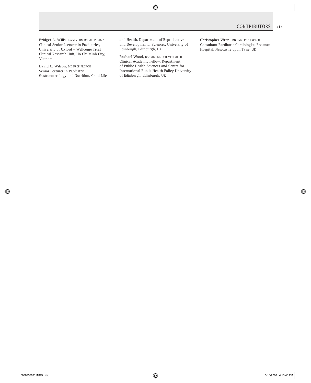Bridget A. Wills, BmedSci BM BS MRCP DTM&H Clinical Senior Lecturer in Paediatrics, University of Oxford – Wellcome Trust Clinical Research Unit, Ho Chi Minh City, Vietnam

David C. Wilson, MD FRCP FRCPCH Senior Lecturer in Paediatric Gastroenterology and Nutrition, Child Life and Health, Department of Reproductive and Developmental Sciences, University of Edinburgh, Edinburgh, UK

Rachael Wood, BSc MB ChB DCH MFH MFPH Clinical Academic Fellow, Department of Public Health Sciences and Centre for International Public Health Policy University of Edinburgh, Edinburgh, UK

Christopher Wren, MB ChB FRCP FRCPCH Consultant Paediatric Cardiologist, Freeman Hospital, Newcastle upon Tyne, UK

 $\bigoplus$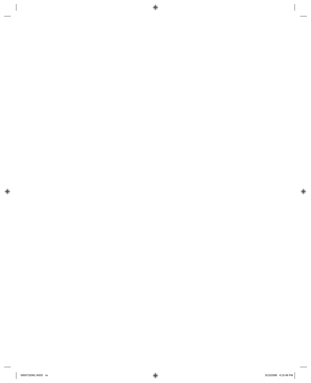